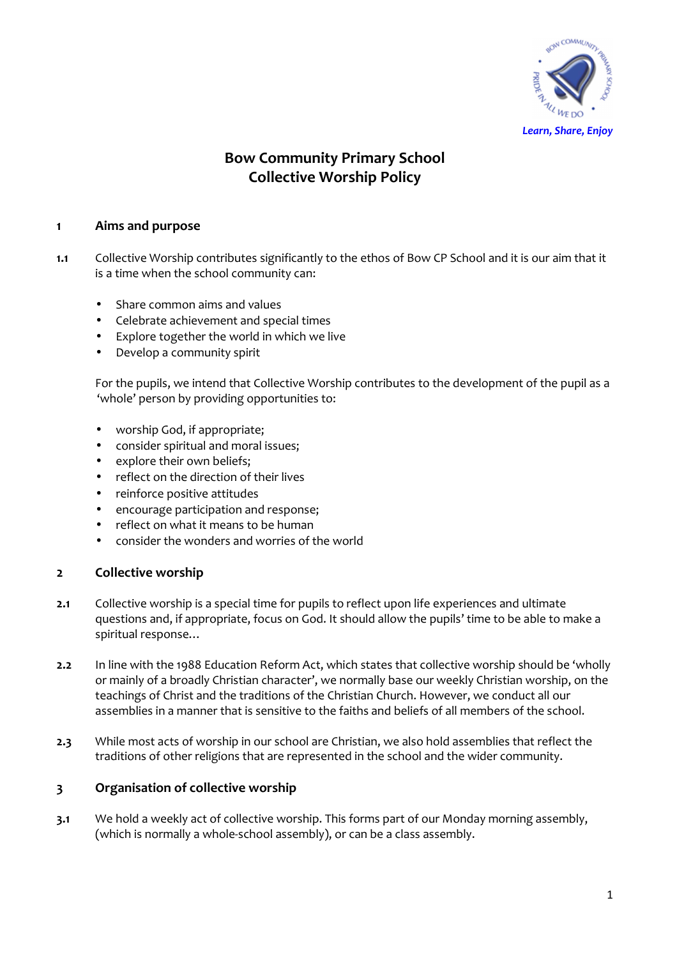

# **Bow Community Primary School Collective Worship Policy**

### **1 Aims and purpose**

- **1.1** Collective Worship contributes significantly to the ethos of Bow CP School and it is our aim that it is a time when the school community can:
	- Share common aims and values
	- Celebrate achievement and special times
	- Explore together the world in which we live
	- Develop a community spirit

For the pupils, we intend that Collective Worship contributes to the development of the pupil as a 'whole' person by providing opportunities to:

- worship God, if appropriate;
- consider spiritual and moral issues;
- explore their own beliefs;
- reflect on the direction of their lives
- reinforce positive attitudes
- encourage participation and response;
- reflect on what it means to be human
- consider the wonders and worries of the world

#### **2 Collective worship**

- **2.1** Collective worship is a special time for pupils to reflect upon life experiences and ultimate questions and, if appropriate, focus on God. It should allow the pupils' time to be able to make a spiritual response…
- **2.2** In line with the 1988 Education Reform Act, which states that collective worship should be 'wholly or mainly of a broadly Christian character', we normally base our weekly Christian worship, on the teachings of Christ and the traditions of the Christian Church. However, we conduct all our assemblies in a manner that is sensitive to the faiths and beliefs of all members of the school.
- **2.3** While most acts of worship in our school are Christian, we also hold assemblies that reflect the traditions of other religions that are represented in the school and the wider community.

#### **3 Organisation of collective worship**

**3.1** We hold a weekly act of collective worship. This forms part of our Monday morning assembly, (which is normally a whole-school assembly), or can be a class assembly.